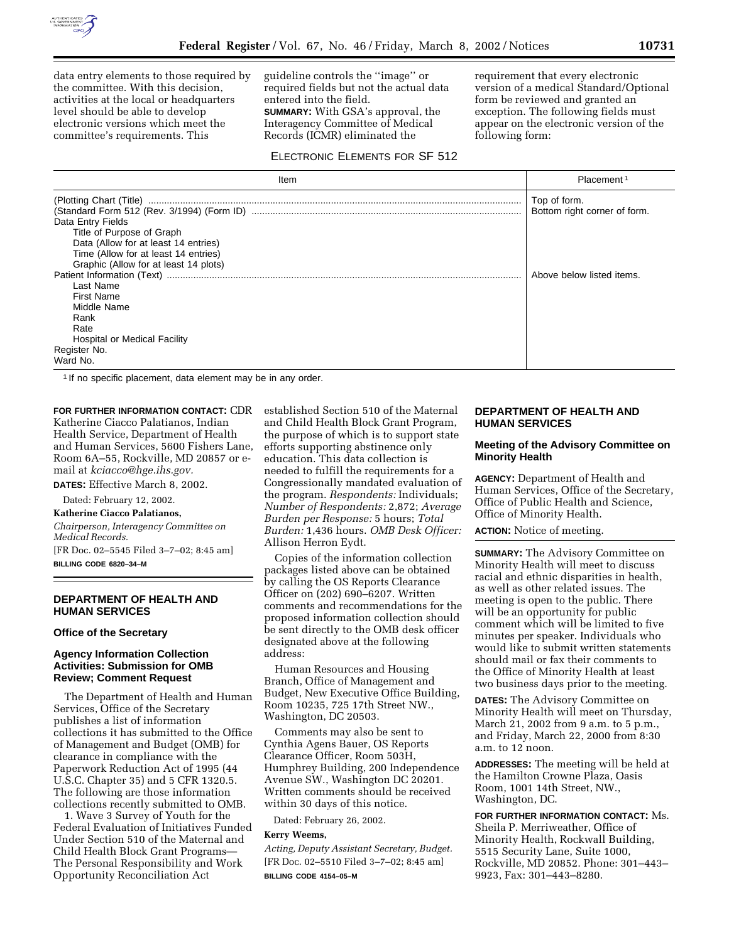

data entry elements to those required by the committee. With this decision, activities at the local or headquarters level should be able to develop electronic versions which meet the committee's requirements. This

guideline controls the ''image'' or required fields but not the actual data entered into the field. **SUMMARY:** With GSA's approval, the Interagency Committee of Medical Records (ICMR) eliminated the

# ELECTRONIC ELEMENTS FOR SF 512

requirement that every electronic version of a medical Standard/Optional form be reviewed and granted an exception. The following fields must appear on the electronic version of the following form:

| Item                                  | Placement <sup>1</sup>       |
|---------------------------------------|------------------------------|
|                                       | Top of form.                 |
|                                       | Bottom right corner of form. |
| Data Entry Fields                     |                              |
| Title of Purpose of Graph             |                              |
| Data (Allow for at least 14 entries)  |                              |
| Time (Allow for at least 14 entries)  |                              |
| Graphic (Allow for at least 14 plots) |                              |
|                                       | Above below listed items.    |
| Last Name                             |                              |
| <b>First Name</b>                     |                              |
| Middle Name                           |                              |
| Rank                                  |                              |
| Rate                                  |                              |
| <b>Hospital or Medical Facility</b>   |                              |
| Register No.                          |                              |
| Ward No.                              |                              |

<sup>1</sup> If no specific placement, data element may be in any order.

**FOR FURTHER INFORMATION CONTACT:** CDR Katherine Ciacco Palatianos, Indian Health Service, Department of Health and Human Services, 5600 Fishers Lane, Room 6A–55, Rockville, MD 20857 or email at *kciacco@hge.ihs.gov.*

**DATES:** Effective March 8, 2002.

Dated: February 12, 2002.

#### **Katherine Ciacco Palatianos,**

*Chairperson, Interagency Committee on Medical Records.* [FR Doc. 02–5545 Filed 3–7–02; 8:45 am]

**BILLING CODE 6820–34–M**

## **DEPARTMENT OF HEALTH AND HUMAN SERVICES**

### **Office of the Secretary**

### **Agency Information Collection Activities: Submission for OMB Review; Comment Request**

The Department of Health and Human Services, Office of the Secretary publishes a list of information collections it has submitted to the Office of Management and Budget (OMB) for clearance in compliance with the Paperwork Reduction Act of 1995 (44 U.S.C. Chapter 35) and 5 CFR 1320.5. The following are those information collections recently submitted to OMB.

1. Wave 3 Survey of Youth for the Federal Evaluation of Initiatives Funded Under Section 510 of the Maternal and Child Health Block Grant Programs— The Personal Responsibility and Work Opportunity Reconciliation Act

established Section 510 of the Maternal and Child Health Block Grant Program, the purpose of which is to support state efforts supporting abstinence only education. This data collection is needed to fulfill the requirements for a Congressionally mandated evaluation of the program. *Respondents:* Individuals; *Number of Respondents:* 2,872; *Average Burden per Response:* 5 hours; *Total Burden:* 1,436 hours. *OMB Desk Officer:* Allison Herron Eydt.

Copies of the information collection packages listed above can be obtained by calling the OS Reports Clearance Officer on (202) 690–6207. Written comments and recommendations for the proposed information collection should be sent directly to the OMB desk officer designated above at the following address:

Human Resources and Housing Branch, Office of Management and Budget, New Executive Office Building, Room 10235, 725 17th Street NW., Washington, DC 20503.

Comments may also be sent to Cynthia Agens Bauer, OS Reports Clearance Officer, Room 503H, Humphrey Building, 200 Independence Avenue SW., Washington DC 20201. Written comments should be received within 30 days of this notice.

Dated: February 26, 2002.

#### **Kerry Weems,**

*Acting, Deputy Assistant Secretary, Budget.* [FR Doc. 02–5510 Filed 3–7–02; 8:45 am] **BILLING CODE 4154–05–M**

## **DEPARTMENT OF HEALTH AND HUMAN SERVICES**

### **Meeting of the Advisory Committee on Minority Health**

**AGENCY:** Department of Health and Human Services, Office of the Secretary, Office of Public Health and Science, Office of Minority Health.

**ACTION:** Notice of meeting.

**SUMMARY:** The Advisory Committee on Minority Health will meet to discuss racial and ethnic disparities in health, as well as other related issues. The meeting is open to the public. There will be an opportunity for public comment which will be limited to five minutes per speaker. Individuals who would like to submit written statements should mail or fax their comments to the Office of Minority Health at least two business days prior to the meeting.

**DATES:** The Advisory Committee on Minority Health will meet on Thursday, March 21, 2002 from 9 a.m. to 5 p.m., and Friday, March 22, 2000 from 8:30 a.m. to 12 noon.

**ADDRESSES:** The meeting will be held at the Hamilton Crowne Plaza, Oasis Room, 1001 14th Street, NW., Washington, DC.

**FOR FURTHER INFORMATION CONTACT:** Ms. Sheila P. Merriweather, Office of Minority Health, Rockwall Building, 5515 Security Lane, Suite 1000, Rockville, MD 20852. Phone: 301–443– 9923, Fax: 301–443–8280.